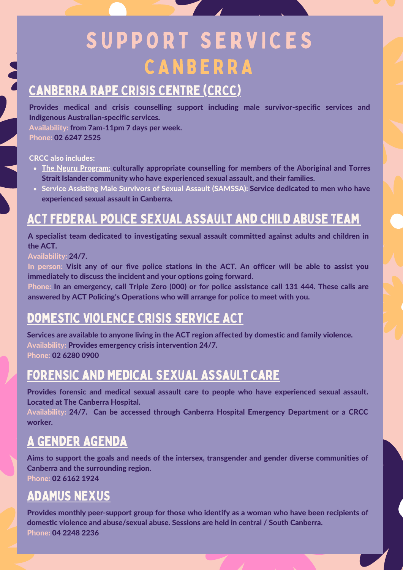# S U P P O R T S E R V I C E S **CANBERRA**

#### [Canberra](https://www.anu.edu.au/students/health-safety-wellbeing/getting-help-at-anu/anu-counselling) Rape Crisis Centre (CRCC)

Provides medical and crisis counselling support including male survivor-specific services and Indigenous Australian-specific services.

Availability: from 7am-11pm 7 days per week. Phone: 02 6247 2525

#### CRCC also includes:

- The Nguru Program: culturally appropriate counselling for members of the Aboriginal and Torres Strait Islander community who have experienced sexual assault, and their families.
- Service Assisting Male Survivors of Sexual Assault (SAMSSA): Service dedicated to men who have experienced sexual assault in Canberra.

# ACT Federal Police Sexual Assault and Child Abuse Team

A specialist team dedicated to investigating sexual assault committed against adults and children in the ACT.

#### Availability: 24/7.

In person: Visit any of our five police stations in the ACT. An officer will be able to assist you immediately to discuss the incident and your options going forward.

Phone: In an emergency, call Triple Zero (000) or for police assistance call 131 444. These calls are answered by ACT Policing's Operations who will arrange for police to meet with you.

# DOMESTIC VIOLENCE CRISIS SERVICE ACT

Services are available to anyone living in the ACT region affected by domestic and family violence. Availability: Provides emergency crisis intervention 24/7. Phone: 02 6280 0900

# Forensic and Medical Sexual Assault Care

Provides forensic and medical sexual assault care to people who have experienced sexual assault. Located at The Canberra Hospital.

Availability: 24/7. Can be accessed through Canberra Hospital Emergency Department or a CRCC worker.

#### A Gender [Agenda](https://genderrights.org.au/)

Aims to support the goals and needs of the intersex, transgender and gender diverse communities of Canberra and the surrounding region.

Phone: 02 6162 1924

### ADAMUS NEXUS

Provides monthly peer-support group for those who identify as a woman who have been recipients of domestic violence and abuse/sexual abuse. Sessions are held in central / South Canberra. Phone: 04 2248 2236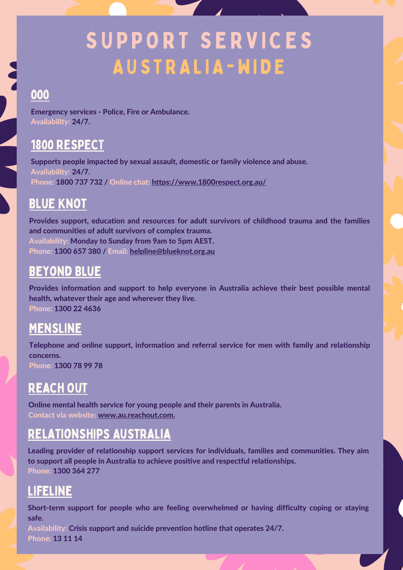# SUPPORT SERVICES AUSTRALIA-WIDE

#### 000

Emergency services - Police, Fire or Ambulance. Availability: 24/7.

#### 1800 [RESPECT](https://www.1800respect.org.au/)

Supports people impacted by sexual assault, domestic or family violence and abuse. Availability: 24/7. Phone: 1800 737 732 / Online chat: <https://www.1800respect.org.au/>

# Blue [Knot](https://www.blueknot.org.au/)

Provides support, education and resources for adult survivors of childhood trauma and the families and communities of adult survivors of complex trauma. Availability: Monday to Sunday from 9am to 5pm AEST. Phone: 1300 657 380 / Email: [helpline@blueknot.org.au](mailto:helpline@blueknot.org.au)

#### [Beyond](https://www.beyondblue.org.au/) Blue

Provides information and support to help everyone in Australia achieve their best possible mental health, whatever their age and wherever they live. Phone: 1300 22 4636

#### [MensLine](https://mensline.org.au/)

Telephone and online support, information and referral service for men with family and relationship concerns. Phone: 1300 78 99 78

# [Reach](https://au.reachout.com/) Out

Online mental health service for young people and their parents in Australia. Contact via website: www.au.reachout.com.

# [Relationships](https://www.blueknot.org.au/) Australia

Leading provider of relationship support services for individuals, families and communities. They aim to support all people in Australia to achieve positive and respectful relationships. Phone: 1300 364 277

### [Lifeline](https://www.lifeline.org.au/)

Short-term support for people who are feeling overwhelmed or having difficulty coping or staying safe.

Availability: Crisis support and suicide prevention hotline that operates 24/7. Phone: 13 11 14